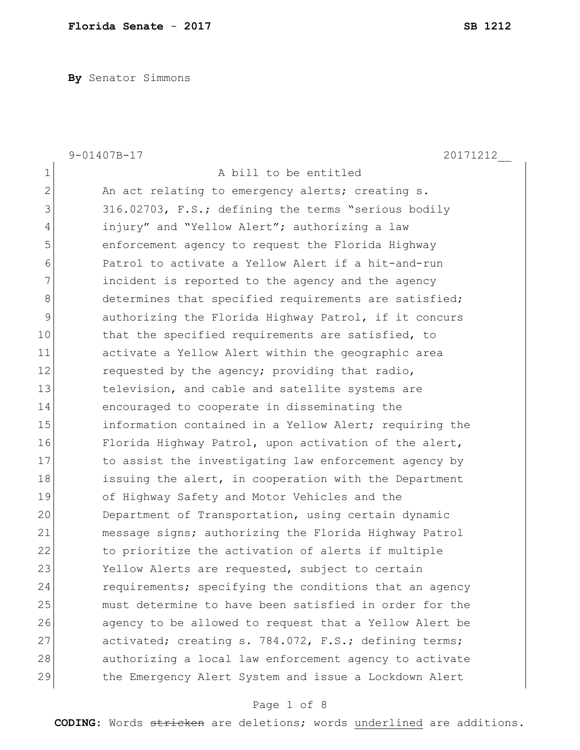**By** Senator Simmons

|              | 9-01407B-17<br>20171212                                |
|--------------|--------------------------------------------------------|
| 1            | A bill to be entitled                                  |
| $\mathbf{2}$ | An act relating to emergency alerts; creating s.       |
| 3            | 316.02703, F.S.; defining the terms "serious bodily    |
| 4            | injury" and "Yellow Alert"; authorizing a law          |
| 5            | enforcement agency to request the Florida Highway      |
| 6            | Patrol to activate a Yellow Alert if a hit-and-run     |
| 7            | incident is reported to the agency and the agency      |
| 8            | determines that specified requirements are satisfied;  |
| $\mathsf 9$  | authorizing the Florida Highway Patrol, if it concurs  |
| 10           | that the specified requirements are satisfied, to      |
| 11           | activate a Yellow Alert within the geographic area     |
| 12           | requested by the agency; providing that radio,         |
| 13           | television, and cable and satellite systems are        |
| 14           | encouraged to cooperate in disseminating the           |
| 15           | information contained in a Yellow Alert; requiring the |
| 16           | Florida Highway Patrol, upon activation of the alert,  |
| 17           | to assist the investigating law enforcement agency by  |
| 18           | issuing the alert, in cooperation with the Department  |
| 19           | of Highway Safety and Motor Vehicles and the           |
| 20           | Department of Transportation, using certain dynamic    |
| 21           | message signs; authorizing the Florida Highway Patrol  |
| 22           | to prioritize the activation of alerts if multiple     |
| 23           | Yellow Alerts are requested, subject to certain        |
| 24           | requirements; specifying the conditions that an agency |
| 25           | must determine to have been satisfied in order for the |
| 26           | agency to be allowed to request that a Yellow Alert be |
| 27           | activated; creating s. 784.072, F.S.; defining terms;  |
| 28           | authorizing a local law enforcement agency to activate |
| 29           | the Emergency Alert System and issue a Lockdown Alert  |

# Page 1 of 8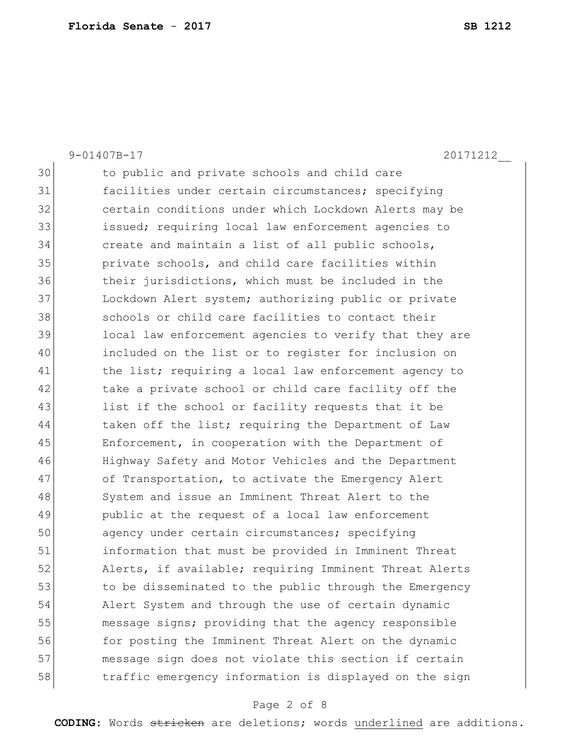|    | $9 - 01407B - 17$<br>20171212                          |
|----|--------------------------------------------------------|
| 30 | to public and private schools and child care           |
| 31 | facilities under certain circumstances; specifying     |
| 32 | certain conditions under which Lockdown Alerts may be  |
| 33 | issued; requiring local law enforcement agencies to    |
| 34 | create and maintain a list of all public schools,      |
| 35 | private schools, and child care facilities within      |
| 36 | their jurisdictions, which must be included in the     |
| 37 | Lockdown Alert system; authorizing public or private   |
| 38 | schools or child care facilities to contact their      |
| 39 | local law enforcement agencies to verify that they are |
| 40 | included on the list or to register for inclusion on   |
| 41 | the list; requiring a local law enforcement agency to  |
| 42 | take a private school or child care facility off the   |
| 43 | list if the school or facility requests that it be     |
| 44 | taken off the list; requiring the Department of Law    |
| 45 | Enforcement, in cooperation with the Department of     |
| 46 | Highway Safety and Motor Vehicles and the Department   |
| 47 | of Transportation, to activate the Emergency Alert     |
| 48 | System and issue an Imminent Threat Alert to the       |
| 49 | public at the request of a local law enforcement       |
| 50 | agency under certain circumstances; specifying         |
| 51 | information that must be provided in Imminent Threat   |
| 52 | Alerts, if available; requiring Imminent Threat Alerts |
| 53 | to be disseminated to the public through the Emergency |
| 54 | Alert System and through the use of certain dynamic    |
| 55 | message signs; providing that the agency responsible   |
| 56 | for posting the Imminent Threat Alert on the dynamic   |
| 57 | message sign does not violate this section if certain  |
| 58 | traffic emergency information is displayed on the sign |

# Page 2 of 8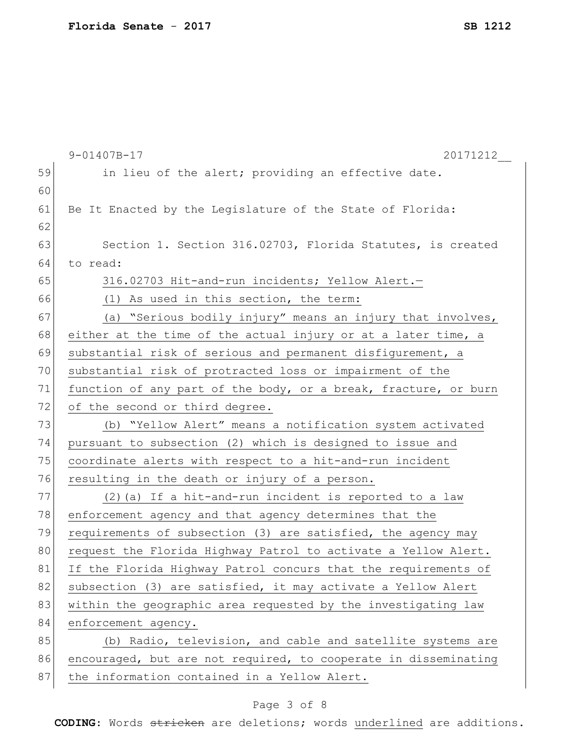|    | $9 - 01407B - 17$<br>20171212                                   |
|----|-----------------------------------------------------------------|
| 59 | in lieu of the alert; providing an effective date.              |
| 60 |                                                                 |
| 61 | Be It Enacted by the Legislature of the State of Florida:       |
| 62 |                                                                 |
| 63 | Section 1. Section 316.02703, Florida Statutes, is created      |
| 64 | to read:                                                        |
| 65 | 316.02703 Hit-and-run incidents; Yellow Alert.-                 |
| 66 | (1) As used in this section, the term:                          |
| 67 | (a) "Serious bodily injury" means an injury that involves,      |
| 68 | either at the time of the actual injury or at a later time, a   |
| 69 | substantial risk of serious and permanent disfigurement, a      |
| 70 | substantial risk of protracted loss or impairment of the        |
| 71 | function of any part of the body, or a break, fracture, or burn |
| 72 | of the second or third degree.                                  |
| 73 | (b) "Yellow Alert" means a notification system activated        |
| 74 | pursuant to subsection (2) which is designed to issue and       |
| 75 | coordinate alerts with respect to a hit-and-run incident        |
| 76 | resulting in the death or injury of a person.                   |
| 77 | (2) (a) If a hit-and-run incident is reported to a law          |
| 78 | enforcement agency and that agency determines that the          |
| 79 | requirements of subsection (3) are satisfied, the agency may    |
| 80 | request the Florida Highway Patrol to activate a Yellow Alert.  |
| 81 | If the Florida Highway Patrol concurs that the requirements of  |
| 82 | subsection (3) are satisfied, it may activate a Yellow Alert    |
| 83 | within the geographic area requested by the investigating law   |
| 84 | enforcement agency.                                             |
| 85 | (b) Radio, television, and cable and satellite systems are      |
| 86 | encouraged, but are not required, to cooperate in disseminating |
| 87 | the information contained in a Yellow Alert.                    |

# Page 3 of 8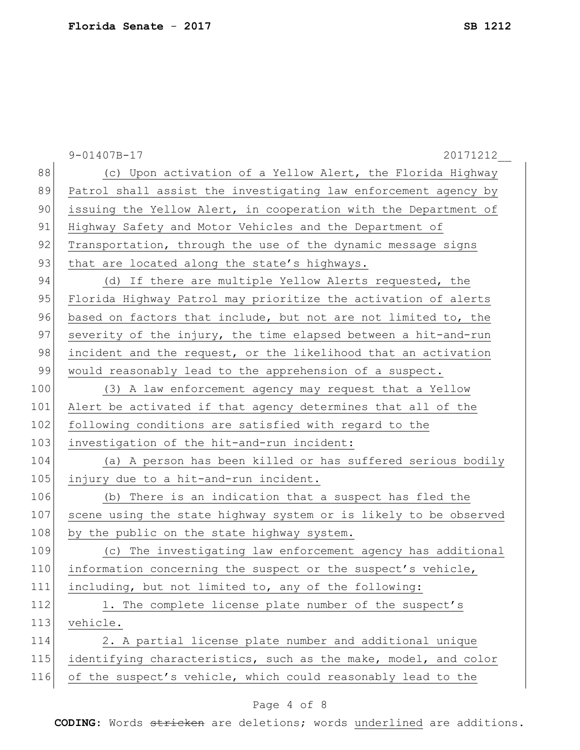|     | $9 - 01407B - 17$<br>20171212                                    |
|-----|------------------------------------------------------------------|
| 88  | (c) Upon activation of a Yellow Alert, the Florida Highway       |
| 89  | Patrol shall assist the investigating law enforcement agency by  |
| 90  | issuing the Yellow Alert, in cooperation with the Department of  |
| 91  | Highway Safety and Motor Vehicles and the Department of          |
| 92  | Transportation, through the use of the dynamic message signs     |
| 93  | that are located along the state's highways.                     |
| 94  | (d) If there are multiple Yellow Alerts requested, the           |
| 95  | Florida Highway Patrol may prioritize the activation of alerts   |
| 96  | based on factors that include, but not are not limited to, the   |
| 97  | severity of the injury, the time elapsed between a hit-and-run   |
| 98  | incident and the request, or the likelihood that an activation   |
| 99  | would reasonably lead to the apprehension of a suspect.          |
| 100 | (3) A law enforcement agency may request that a Yellow           |
| 101 | Alert be activated if that agency determines that all of the     |
| 102 | following conditions are satisfied with regard to the            |
| 103 | investigation of the hit-and-run incident:                       |
| 104 | (a) A person has been killed or has suffered serious bodily      |
| 105 | injury due to a hit-and-run incident.                            |
| 106 | (b) There is an indication that a suspect has fled the           |
| 107 | scene using the state highway system or is likely to be observed |
| 108 | by the public on the state highway system.                       |
| 109 | (c) The investigating law enforcement agency has additional      |
| 110 | information concerning the suspect or the suspect's vehicle,     |
| 111 | including, but not limited to, any of the following:             |
| 112 | 1. The complete license plate number of the suspect's            |
| 113 | vehicle.                                                         |
| 114 | 2. A partial license plate number and additional unique          |
| 115 | identifying characteristics, such as the make, model, and color  |
| 116 | of the suspect's vehicle, which could reasonably lead to the     |

# Page 4 of 8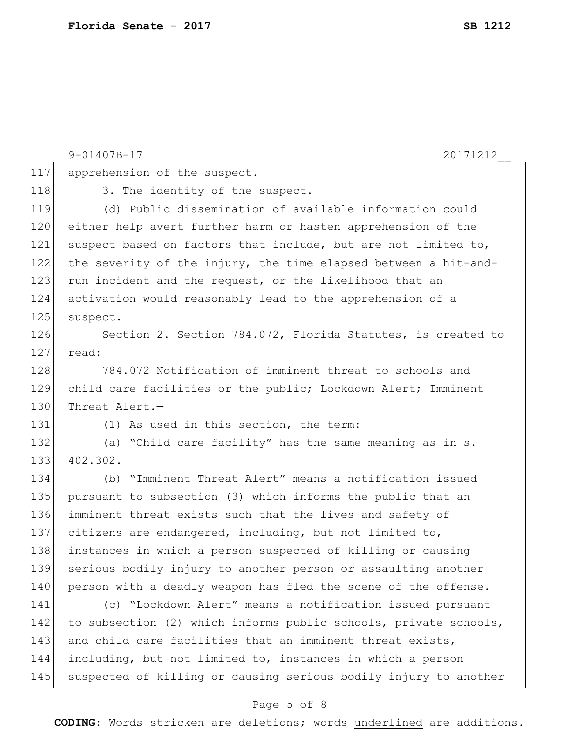|     | $9 - 01407B - 17$<br>20171212                                    |
|-----|------------------------------------------------------------------|
| 117 | apprehension of the suspect.                                     |
| 118 | 3. The identity of the suspect.                                  |
| 119 | (d) Public dissemination of available information could          |
| 120 | either help avert further harm or hasten apprehension of the     |
| 121 | suspect based on factors that include, but are not limited to,   |
| 122 | the severity of the injury, the time elapsed between a hit-and-  |
| 123 | run incident and the request, or the likelihood that an          |
| 124 | activation would reasonably lead to the apprehension of a        |
| 125 | suspect.                                                         |
| 126 | Section 2. Section 784.072, Florida Statutes, is created to      |
| 127 | read:                                                            |
| 128 | 784.072 Notification of imminent threat to schools and           |
| 129 | child care facilities or the public; Lockdown Alert; Imminent    |
| 130 | Threat Alert.-                                                   |
| 131 | (1) As used in this section, the term:                           |
| 132 | (a) "Child care facility" has the same meaning as in s.          |
| 133 | 402.302.                                                         |
| 134 | (b) "Imminent Threat Alert" means a notification issued          |
| 135 | pursuant to subsection (3) which informs the public that an      |
| 136 | imminent threat exists such that the lives and safety of         |
| 137 | citizens are endangered, including, but not limited to,          |
| 138 | instances in which a person suspected of killing or causing      |
| 139 | serious bodily injury to another person or assaulting another    |
| 140 | person with a deadly weapon has fled the scene of the offense.   |
| 141 | (c) "Lockdown Alert" means a notification issued pursuant        |
| 142 | to subsection (2) which informs public schools, private schools, |
| 143 | and child care facilities that an imminent threat exists,        |
| 144 | including, but not limited to, instances in which a person       |
| 145 | suspected of killing or causing serious bodily injury to another |

# Page 5 of 8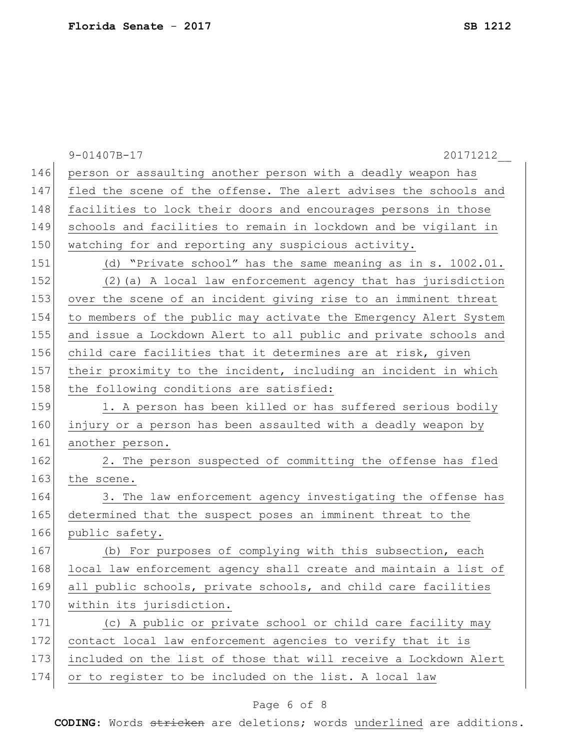|     | $9 - 01407B - 17$<br>20171212                                    |
|-----|------------------------------------------------------------------|
| 146 | person or assaulting another person with a deadly weapon has     |
| 147 | fled the scene of the offense. The alert advises the schools and |
| 148 | facilities to lock their doors and encourages persons in those   |
| 149 | schools and facilities to remain in lockdown and be vigilant in  |
| 150 | watching for and reporting any suspicious activity.              |
| 151 | (d) "Private school" has the same meaning as in s. 1002.01.      |
| 152 | (2) (a) A local law enforcement agency that has jurisdiction     |
| 153 | over the scene of an incident giving rise to an imminent threat  |
| 154 | to members of the public may activate the Emergency Alert System |
| 155 | and issue a Lockdown Alert to all public and private schools and |
| 156 | child care facilities that it determines are at risk, given      |
| 157 | their proximity to the incident, including an incident in which  |
| 158 | the following conditions are satisfied:                          |
| 159 | 1. A person has been killed or has suffered serious bodily       |
| 160 | injury or a person has been assaulted with a deadly weapon by    |
| 161 | another person.                                                  |
| 162 | 2. The person suspected of committing the offense has fled       |
| 163 | the scene.                                                       |
| 164 | 3. The law enforcement agency investigating the offense has      |
| 165 | determined that the suspect poses an imminent threat to the      |
| 166 | public safety.                                                   |
| 167 | (b) For purposes of complying with this subsection, each         |
| 168 | local law enforcement agency shall create and maintain a list of |
| 169 | all public schools, private schools, and child care facilities   |
| 170 | within its jurisdiction.                                         |
| 171 | (c) A public or private school or child care facility may        |
| 172 | contact local law enforcement agencies to verify that it is      |
| 173 | included on the list of those that will receive a Lockdown Alert |
| 174 | or to register to be included on the list. A local law           |

# Page 6 of 8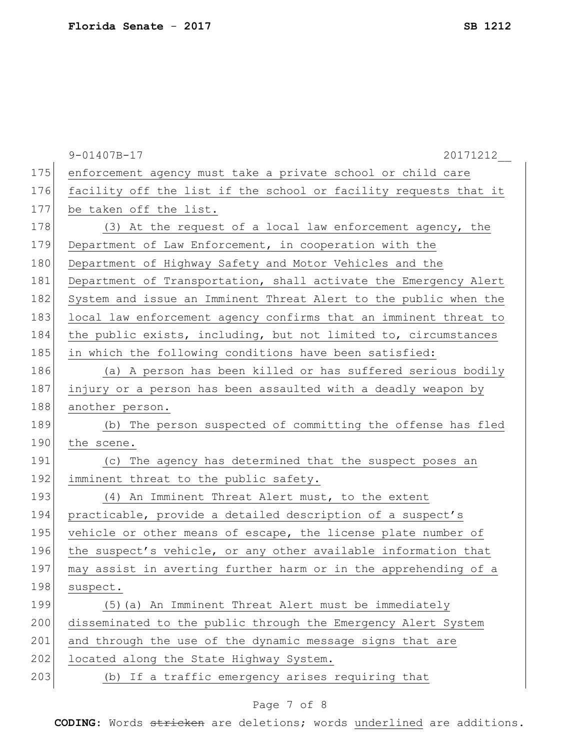|     | $9 - 01407B - 17$<br>20171212                                    |
|-----|------------------------------------------------------------------|
| 175 | enforcement agency must take a private school or child care      |
| 176 | facility off the list if the school or facility requests that it |
| 177 | be taken off the list.                                           |
| 178 | (3) At the request of a local law enforcement agency, the        |
| 179 | Department of Law Enforcement, in cooperation with the           |
| 180 | Department of Highway Safety and Motor Vehicles and the          |
| 181 | Department of Transportation, shall activate the Emergency Alert |
| 182 | System and issue an Imminent Threat Alert to the public when the |
| 183 | local law enforcement agency confirms that an imminent threat to |
| 184 | the public exists, including, but not limited to, circumstances  |
| 185 | in which the following conditions have been satisfied:           |
| 186 | (a) A person has been killed or has suffered serious bodily      |
| 187 | injury or a person has been assaulted with a deadly weapon by    |
| 188 | another person.                                                  |
| 189 | (b) The person suspected of committing the offense has fled      |
| 190 | the scene.                                                       |
| 191 | (c) The agency has determined that the suspect poses an          |
| 192 | imminent threat to the public safety.                            |
| 193 | (4) An Imminent Threat Alert must, to the extent                 |
| 194 | practicable, provide a detailed description of a suspect's       |
| 195 | vehicle or other means of escape, the license plate number of    |
| 196 | the suspect's vehicle, or any other available information that   |
| 197 | may assist in averting further harm or in the apprehending of a  |
| 198 | suspect.                                                         |
| 199 | (5) (a) An Imminent Threat Alert must be immediately             |
| 200 | disseminated to the public through the Emergency Alert System    |
| 201 | and through the use of the dynamic message signs that are        |
| 202 | located along the State Highway System.                          |
| 203 | (b) If a traffic emergency arises requiring that                 |

# Page 7 of 8